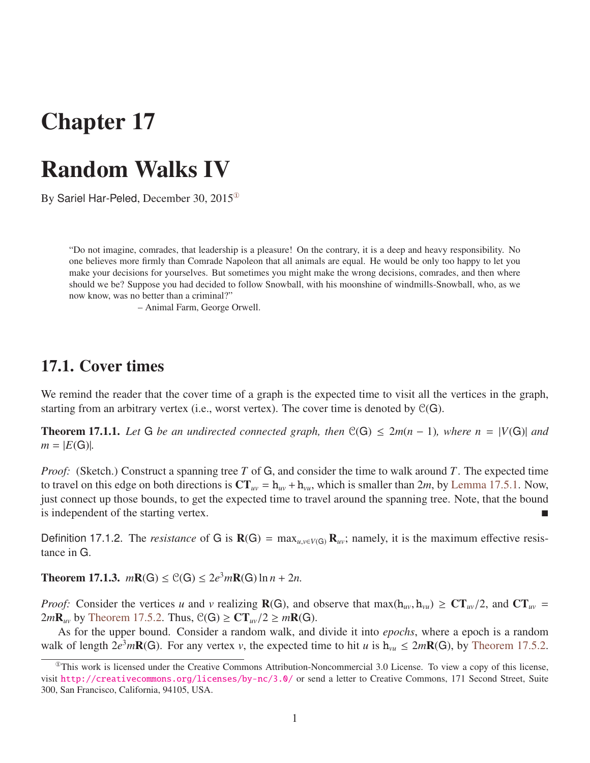# Chapter 17

## Random Walks IV

By Sariel Har-Peled, December 30,  $2015^\circ$ 

"Do not imagine, comrades, that leadership is a pleasure! On the contrary, it is a deep and heavy responsibility. No one believes more firmly than Comrade Napoleon that all animals are equal. He would be only too happy to let you make your decisions for yourselves. But sometimes you might make the wrong decisions, comrades, and then where should we be? Suppose you had decided to follow Snowball, with his moonshine of windmills-Snowball, who, as we now know, was no better than a criminal?"

– Animal Farm, George Orwell.

## 17.1. Cover times

We remind the reader that the cover time of a graph is the expected time to visit all the vertices in the graph, starting from an arbitrary vertex (i.e., worst vertex). The cover time is denoted by  $C(G)$ .

<span id="page-0-1"></span>**Theorem 17.1.1.** Let G be an undirected connected graph, then  $\mathcal{C}(G) \leq 2m(n-1)$ , where  $n = |V(G)|$  and  $m = |E(G)|$ .

*Proof:* (Sketch.) Construct a spanning tree *T* of G, and consider the time to walk around *T*. The expected time to travel on this edge on both directions is  $CT_{uv} = h_{uv} + h_{vu}$ , which is smaller than 2*m*, by [Lemma 17.5.1.](#page-3-0) Now, just connect up those bounds, to get the expected time to travel around the spanning tree. Note, that the bound is independent of the starting vertex.

Definition 17.1.2. The *resistance* of G is  $\mathbf{R}(G) = \max_{u,v \in V(G)} \mathbf{R}_{uv}$ ; namely, it is the maximum effective resistance in G.

**Theorem 17.1.3.**  $m\mathbf{R}(G) \leq C(G) \leq 2e^3m\mathbf{R}(G) \ln n + 2n$ .

*Proof:* Consider the vertices *u* and *v* realizing  $R(G)$ , and observe that max( $h_{uv}, h_{vu}$ )  $\geq C T_{uv}/2$ , and  $CT_{uv}$  $2mR_w$  by [Theorem 17.5.2.](#page-3-1) Thus,  $\mathcal{C}(G) \geq CT_w/2 \geq mR(G)$ .

As for the upper bound. Consider a random walk, and divide it into *epochs*, where a epoch is a random walk of length  $2e^{3}m\mathbf{R}(G)$ . For any vertex *v*, the expected time to hit *u* is  $h_{vu} \leq 2m\mathbf{R}(G)$ , by [Theorem 17.5.2.](#page-3-1)

<span id="page-0-0"></span> $<sup>①</sup>$ This work is licensed under the Creative Commons Attribution-Noncommercial 3.0 License. To view a copy of this license,</sup> visit <http://creativecommons.org/licenses/by-nc/3.0/> or send a letter to Creative Commons, 171 Second Street, Suite 300, San Francisco, California, 94105, USA.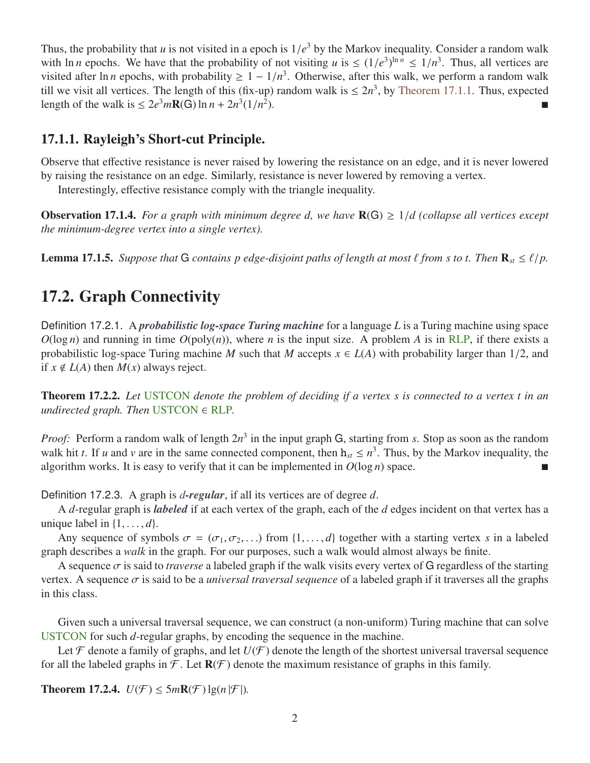Thus, the probability that *u* is not visited in a epoch is  $1/e^3$  by the Markov inequality. Consider a random walk<br>with ln *n* epochs. We have that the probability of not visiting *u* is  $\leq (1/e^3)^{\ln n} \leq 1/n^3$ . Thus, al with ln *n* epochs. We have that the probability of not visiting *u* is  $\leq (1/e^3)^{\ln n} \leq 1/n^3$ . Thus, all vertices are visited after ln *n* epochs, with probability  $> 1 - 1/n^3$ . Otherwise, after this walk, we perform a r visited after ln *n* epochs, with probability  $\geq 1 - 1/n^3$ . Otherwise, after this walk, we perform a random walk<br>till we visit all vertices. The length of this (fix-up) random walk is  $\lt 2n^3$  by Theorem 17.1.1. Thus ex till we visit all vertices. The length of this (fix-up) random walk is  $\leq 2n^3$ , by [Theorem 17.1.1.](#page-0-1) Thus, expected length of the walk is  $\leq 2e^3 m \mathbf{R}(\mathbf{G}) \ln n + 2n^3 (1/n^2)$  $\blacksquare$ 

### 17.1.1. Rayleigh's Short-cut Principle.

Observe that effective resistance is never raised by lowering the resistance on an edge, and it is never lowered by raising the resistance on an edge. Similarly, resistance is never lowered by removing a vertex.

Interestingly, effective resistance comply with the triangle inequality.

**Observation 17.1.4.** For a graph with minimum degree d, we have  $R(G) \geq 1/d$  (collapse all vertices except *the minimum-degree vertex into a single vertex).*

**Lemma 17.1.5.** *Suppose that* G *contains p edge-disjoint paths of length at most*  $\ell$  *from s to t. Then*  $\mathbf{R}_{st} \leq \ell/p$ .

## 17.2. Graph Connectivity

Definition 17.2.1. A *probabilistic log-space Turing machine* for a language *L* is a Turing machine using space  $O(\log n)$  and running in time  $O(poly(n))$ , where *n* is the input size. A problem *A* is in RLP, if there exists a probabilistic log-space Turing machine *M* such that *M* accepts  $x \in L(A)$  with probability larger than 1/2, and if  $x \notin L(A)$  then  $M(x)$  always reject.

Theorem 17.2.2. *Let* USTCON *denote the problem of deciding if a vertex s is connected to a vertex t in an undirected graph. Then* USTCON ∈ RLP*.*

*Proof:* Perform a random walk of length 2*n* 3 in the input graph G, starting from *s*. Stop as soon as the random walk hit *t*. If *u* and *v* are in the same connected component, then  $h_{st} \le n^3$ . Thus, by the Markov inequality, the algorithm works. It is easy to verify that it can be implemented in  $O(\log n)$  space.

Definition 17.2.3. A graph is *d-regular*, if all its vertices are of degree *d*.

A *d*-regular graph is *labeled* if at each vertex of the graph, each of the *d* edges incident on that vertex has a unique label in  $\{1, \ldots, d\}$ .

Any sequence of symbols  $\sigma = (\sigma_1, \sigma_2, ...)$  from  $\{1, ..., d\}$  together with a starting vertex *s* in a labeled graph describes a *walk* in the graph. For our purposes, such a walk would almost always be finite.

A sequence  $\sigma$  is said to *traverse* a labeled graph if the walk visits every vertex of G regardless of the starting vertex. A sequence  $\sigma$  is said to be a *universal traversal sequence* of a labeled graph if it traverses all the graphs in this class.

Given such a universal traversal sequence, we can construct (a non-uniform) Turing machine that can solve USTCON for such *d*-regular graphs, by encoding the sequence in the machine.

Let  $\mathcal F$  denote a family of graphs, and let  $U(\mathcal F)$  denote the length of the shortest universal traversal sequence for all the labeled graphs in  $\mathcal F$ . Let  $\mathbf R(\mathcal F)$  denote the maximum resistance of graphs in this family.

<span id="page-1-0"></span>**Theorem 17.2.4.**  $U(\mathcal{F}) \leq 5m\mathbb{R}(\mathcal{F})\lg(n|\mathcal{F}|)$ .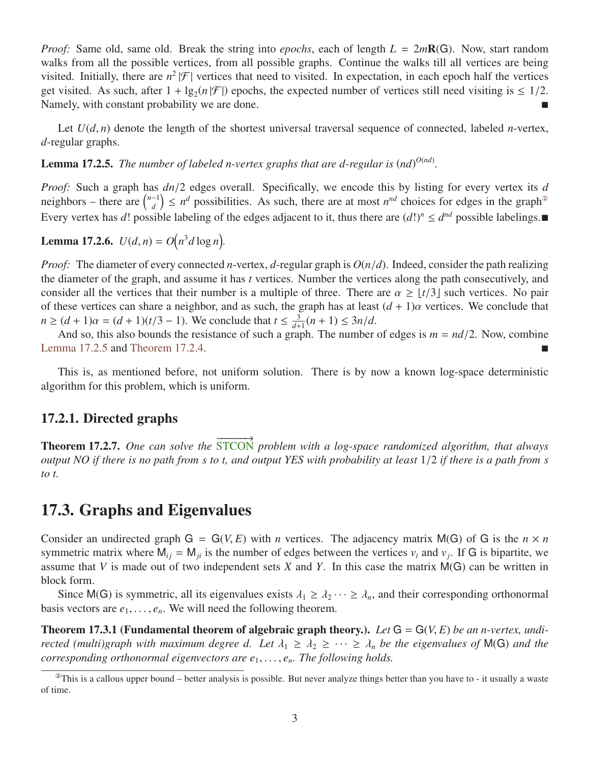*Proof:* Same old, same old. Break the string into *epochs*, each of length *L* = 2*m*R(G). Now, start random walks from all the possible vertices, from all possible graphs. Continue the walks till all vertices are being visited. Initially, there are  $n^2|\mathcal{F}|$  vertices that need to visited. In expectation, in each epoch half the vertices get visited. As such, after  $1 + \lg_2(n|\mathcal{F}|)$  epochs, the expected number of vertices still need visiting is  $\leq 1/2$ . Namely, with constant probability we are done.

Let  $U(d, n)$  denote the length of the shortest universal traversal sequence of connected, labeled *n*-vertex, *d*-regular graphs.

<span id="page-2-1"></span>**Lemma 17.2.5.** The number of labeled n-vertex graphs that are d-regular is  $(nd)^{O(nd)}$ .

*Proof:* Such a graph has *dn*/2 edges overall. Specifically, we encode this by listing for every vertex its *<sup>d</sup>* neighbors – there are  $\int_{d}^{n-1}$  $\binom{n}{d}$   $\leq n^d$  possibilities. As such, there are at most  $n^{nd}$  choices for edges in the graph<sup>®</sup> Every vertex has *d*! possible labeling of the edges adjacent to it, thus there are  $(d!)^n \leq d^{nd}$  possible labelings.

**Lemma 17.2.6.**  $U(d, n) = O(n^3d \log n)$ .

*Proof:* The diameter of every connected *<sup>n</sup>*-vertex, *<sup>d</sup>*-regular graph is *<sup>O</sup>*(*n*/*d*). Indeed, consider the path realizing the diameter of the graph, and assume it has *t* vertices. Number the vertices along the path consecutively, and consider all the vertices that their number is a multiple of three. There are  $\alpha \geq \lfloor t/3 \rfloor$  such vertices. No pair of these vertices can share a neighbor, and as such, the graph has at least  $(d + 1)\alpha$  vertices. We conclude that  $n \ge (d+1)\alpha = (d+1)(t/3-1)$ . We conclude that  $t \le \frac{3}{d+1}$ <br>And so, this also bounds the resistance of such a gray  $\frac{3}{d+1}(n+1) \leq 3n/d$ .<br>caph The number

And so, this also bounds the resistance of such a graph. The number of edges is  $m = nd/2$ . Now, combine [Lemma 17.2.5](#page-2-1) and [Theorem 17.2.4.](#page-1-0)

This is, as mentioned before, not uniform solution. There is by now a known log-space deterministic algorithm for this problem, which is uniform.

#### 17.2.1. Directed graphs

Theorem 17.2.7. *One can solve the*  $\overrightarrow{q_{\text{max}}}$ STCON *problem with a log-space randomized algorithm, that always output NO if there is no path from s to t, and output YES with probability at least* <sup>1</sup>/<sup>2</sup> *if there is a path from s to t.*

### 17.3. Graphs and Eigenvalues

Consider an undirected graph  $G = G(V, E)$  with *n* vertices. The adjacency matrix M(G) of G is the  $n \times n$ symmetric matrix where  $M_{ij} = M_{ji}$  is the number of edges between the vertices  $v_i$  and  $v_j$ . If G is bipartite, we assume that *V* is made out of two independent sets *X* and *Y*. In this case the matrix M(G) can be written in block form.

Since M(G) is symmetric, all its eigenvalues exists  $\lambda_1 \geq \lambda_2 \cdots \geq \lambda_n$ , and their corresponding orthonormal basis vectors are  $e_1, \ldots, e_n$ . We will need the following theorem.

Theorem 17.3.1 (Fundamental theorem of algebraic graph theory.). *Let* <sup>G</sup> <sup>=</sup> <sup>G</sup>(*V*, *<sup>E</sup>*) *be an n-vertex, undirected (multi)graph with maximum degree d. Let*  $\lambda_1 \geq \lambda_2 \geq \cdots \geq \lambda_n$  *be the eigenvalues of* M(G) *and the corresponding orthonormal eigenvectors are e*<sup>1</sup>, . . . , *<sup>e</sup>n. The following holds.*

<span id="page-2-0"></span> $^{\circ}$ This is a callous upper bound – better analysis is possible. But never analyze things better than you have to - it usually a waste of time.